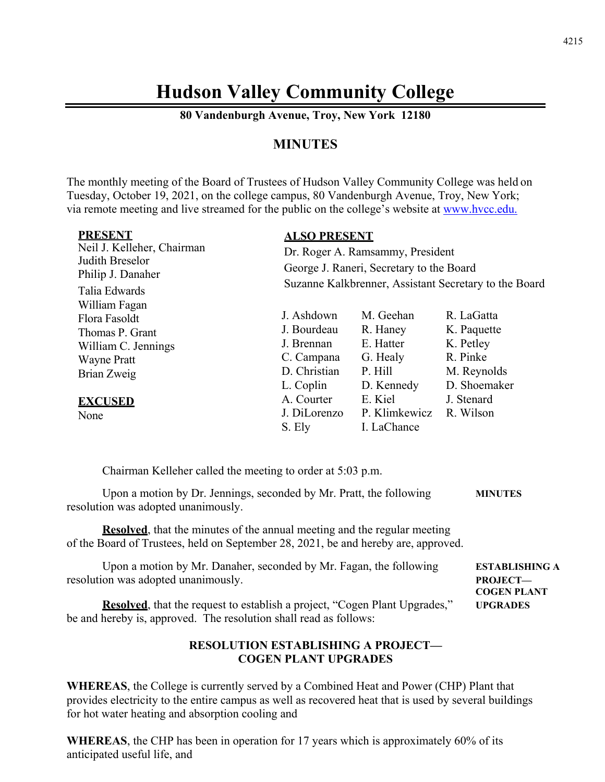# **Hudson Valley Community College**

**80 Vandenburgh Avenue, Troy, New York 12180** 

# **MINUTES**

The monthly meeting of the Board of Trustees of Hudson Valley Community College was held on Tuesday, October 19, 2021, on the college campus, 80 Vandenburgh Avenue, Troy, New York; via remote meeting and live streamed for the public on the college's website at www.hvcc.edu.

| <b>PRESENT</b>             | <b>ALSO PRESENT</b>                                                                                                                   |               |              |
|----------------------------|---------------------------------------------------------------------------------------------------------------------------------------|---------------|--------------|
| Neil J. Kelleher, Chairman | Dr. Roger A. Ramsammy, President<br>George J. Raneri, Secretary to the Board<br>Suzanne Kalkbrenner, Assistant Secretary to the Board |               |              |
| Judith Breselor            |                                                                                                                                       |               |              |
| Philip J. Danaher          |                                                                                                                                       |               |              |
| Talia Edwards              |                                                                                                                                       |               |              |
| William Fagan              |                                                                                                                                       |               |              |
| Flora Fasoldt              | J. Ashdown                                                                                                                            | M. Geehan     | R. LaGatta   |
| Thomas P. Grant            | J. Bourdeau                                                                                                                           | R. Haney      | K. Paquette  |
| William C. Jennings        | J. Brennan                                                                                                                            | E. Hatter     | K. Petley    |
| <b>Wayne Pratt</b>         | C. Campana                                                                                                                            | G. Healy      | R. Pinke     |
| Brian Zweig                | D. Christian                                                                                                                          | P. Hill       | M. Reynolds  |
|                            | L. Coplin                                                                                                                             | D. Kennedy    | D. Shoemaker |
| <b>EXCUSED</b>             | A. Courter                                                                                                                            | E. Kiel       | J. Stenard   |
| None                       | J. DiLorenzo                                                                                                                          | P. Klimkewicz | R. Wilson    |
|                            | S. Ely                                                                                                                                | I. LaChance   |              |

Chairman Kelleher called the meeting to order at 5:03 p.m.

Upon a motion by Dr. Jennings, seconded by Mr. Pratt, the following **MINUTES**  resolution was adopted unanimously.

**Resolved**, that the minutes of the annual meeting and the regular meeting of the Board of Trustees, held on September 28, 2021, be and hereby are, approved.

| Upon a motion by Mr. Danaher, seconded by Mr. Fagan, the following                 | <b>ESTABLISHING A</b> |
|------------------------------------------------------------------------------------|-----------------------|
| resolution was adopted unanimously.                                                | PROJECT—              |
|                                                                                    | <b>COGEN PLANT</b>    |
| <b>Resolved</b> , that the request to establish a project, "Cogen Plant Upgrades," | <b>UPGRADES</b>       |
| be and hereby is, approved. The resolution shall read as follows:                  |                       |

# **RESOLUTION ESTABLISHING A PROJECT— COGEN PLANT UPGRADES**

**WHEREAS**, the College is currently served by a Combined Heat and Power (CHP) Plant that provides electricity to the entire campus as well as recovered heat that is used by several buildings for hot water heating and absorption cooling and

**WHEREAS**, the CHP has been in operation for 17 years which is approximately 60% of its anticipated useful life, and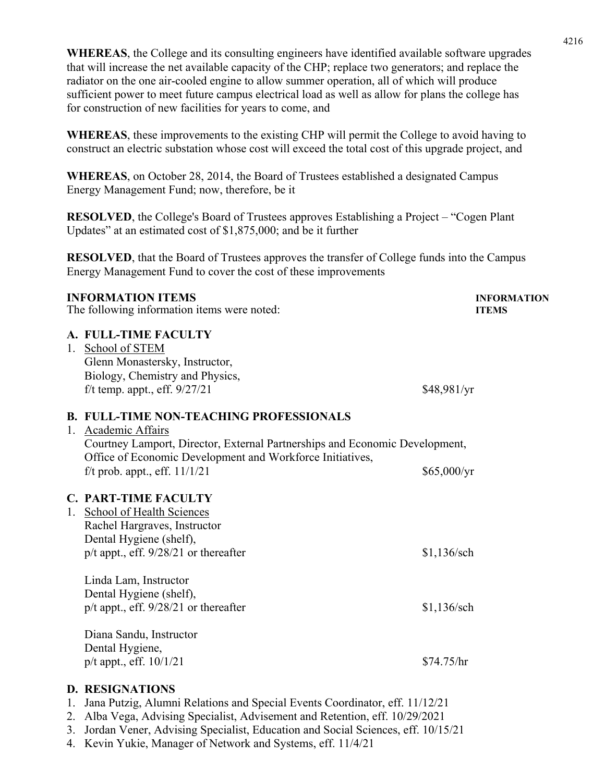**WHEREAS**, the College and its consulting engineers have identified available software upgrades that will increase the net available capacity of the CHP; replace two generators; and replace the radiator on the one air-cooled engine to allow summer operation, all of which will produce sufficient power to meet future campus electrical load as well as allow for plans the college has for construction of new facilities for years to come, and

**WHEREAS**, these improvements to the existing CHP will permit the College to avoid having to construct an electric substation whose cost will exceed the total cost of this upgrade project, and

**WHEREAS**, on October 28, 2014, the Board of Trustees established a designated Campus Energy Management Fund; now, therefore, be it

**RESOLVED**, the College's Board of Trustees approves Establishing a Project – "Cogen Plant Updates" at an estimated cost of \$1,875,000; and be it further

**RESOLVED**, that the Board of Trustees approves the transfer of College funds into the Campus Energy Management Fund to cover the cost of these improvements

# **INFORMATION ITEMS INFORMATION** The following information items were noted: **ITEMS A. FULL-TIME FACULTY**  1. School of STEM Glenn Monastersky, Instructor, Biology, Chemistry and Physics, f/t temp. appt., eff.  $9/27/21$  \$48,981/yr **B. FULL-TIME NON-TEACHING PROFESSIONALS**  1. Academic Affairs Courtney Lamport, Director, External Partnerships and Economic Development, Office of Economic Development and Workforce Initiatives, f/t prob. appt., eff.  $11/1/21$  \$65,000/yr **C. PART-TIME FACULTY**  1. School of Health Sciences Rachel Hargraves, Instructor Dental Hygiene (shelf), p/t appt., eff.  $9/28/21$  or thereafter \$1,136/sch Linda Lam, Instructor Dental Hygiene (shelf), p/t appt., eff. 9/28/21 or thereafter \$1,136/sch Diana Sandu, Instructor Dental Hygiene,  $p/t$  appt., eff.  $10/1/21$  \$74.75/hr **D. RESIGNATIONS**

- 1. Jana Putzig, Alumni Relations and Special Events Coordinator, eff. 11/12/21
- 2. Alba Vega, Advising Specialist, Advisement and Retention, eff. 10/29/2021
- 3. Jordan Vener, Advising Specialist, Education and Social Sciences, eff. 10/15/21
- 4. Kevin Yukie, Manager of Network and Systems, eff. 11/4/21